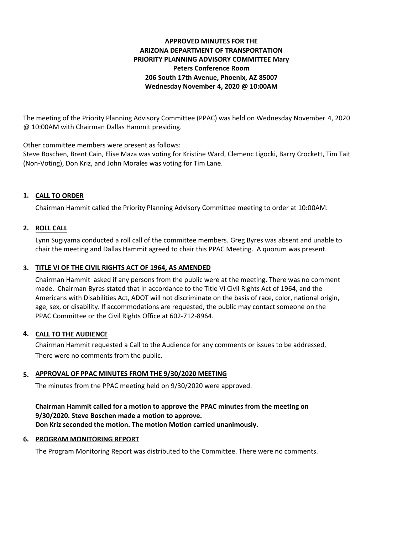# **APPROVED MINUTES FOR THE ARIZONA DEPARTMENT OF TRANSPORTATION PRIORITY PLANNING ADVISORY COMMITTEE Mary Peters Conference Room 206 South 17th Avenue, Phoenix, AZ 85007 Wednesday November 4, 2020 @ 10:00AM**

The meeting of the Priority Planning Advisory Committee (PPAC) was held on Wednesday November 4, 2020 @ 10:00AM with Chairman Dallas Hammit presiding.

Other committee members were present as follows:

Steve Boschen, Brent Cain, Elise Maza was voting for Kristine Ward, Clemenc Ligocki, Barry Crockett, Tim Tait (Non-Voting), Don Kriz, and John Morales was voting for Tim Lane.

# **CALL TO ORDER 1.**

Chairman Hammit called the Priority Planning Advisory Committee meeting to order at 10:00AM.

## **ROLL CALL 2.**

Lynn Sugiyama conducted a roll call of the committee members. Greg Byres was absent and unable to chair the meeting and Dallas Hammit agreed to chair this PPAC Meeting. A quorum was present.

# **TITLE VI OF THE CIVIL RIGHTS ACT OF 1964, AS AMENDED 3.**

Chairman Hammit asked if any persons from the public were at the meeting. There was no comment made. Chairman Byres stated that in accordance to the Title VI Civil Rights Act of 1964, and the Americans with Disabilities Act, ADOT will not discriminate on the basis of race, color, national origin, age, sex, or disability. If accommodations are requested, the public may contact someone on the PPAC Committee or the Civil Rights Office at 602-712-8964.

#### **CALL TO THE AUDIENCE 4.**

Chairman Hammit requested a Call to the Audience for any comments or issues to be addressed, There were no comments from the public.

# **APPROVAL OF PPAC MINUTES FROM THE 9/30/2020 MEETING 5.**

The minutes from the PPAC meeting held on 9/30/2020 were approved.

## **Chairman Hammit called for a motion to approve the PPAC minutes from the meeting on 9/30/2020. Steve Boschen made a motion to approve. Don Kriz seconded the motion. The motion Motion carried unanimously.**

#### **6. PROGRAM MONITORING REPORT**

The Program Monitoring Report was distributed to the Committee. There were no comments.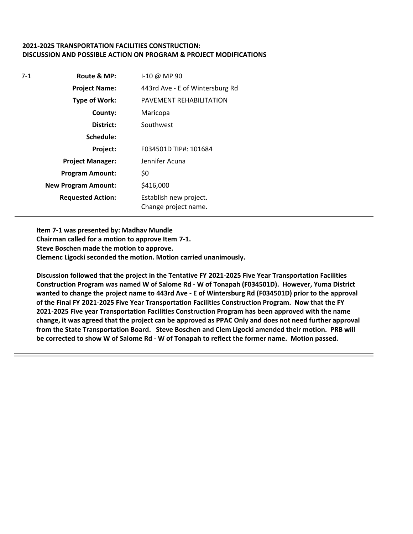### **2021-2025 TRANSPORTATION FACILITIES CONSTRUCTION: DISCUSSION AND POSSIBLE ACTION ON PROGRAM & PROJECT MODIFICATIONS**

| $7-1$ | Route & MP:                | $1-10 \omega$ MP 90                            |
|-------|----------------------------|------------------------------------------------|
|       | <b>Project Name:</b>       | 443rd Ave - E of Wintersburg Rd                |
|       | <b>Type of Work:</b>       | PAVEMENT REHABILITATION                        |
|       | County:                    | Maricopa                                       |
|       | District:                  | Southwest                                      |
|       | Schedule:                  |                                                |
|       | Project:                   | F034501D TIP#: 101684                          |
|       | <b>Project Manager:</b>    | Jennifer Acuna                                 |
|       | <b>Program Amount:</b>     | \$0                                            |
|       | <b>New Program Amount:</b> | \$416,000                                      |
|       | <b>Requested Action:</b>   | Establish new project.<br>Change project name. |

**Item 7-1 was presented by: Madhav Mundle**

**Chairman called for a motion to approve Item 7-1. Steve Boschen made the motion to approve. Clemenc Ligocki seconded the motion. Motion carried unanimously.**

**Discussion followed that the project in the Tentative FY 2021-2025 Five Year Transportation Facilities Construction Program was named W of Salome Rd - W of Tonapah (F034501D). However, Yuma District wanted to change the project name to 443rd Ave - E of Wintersburg Rd (F034501D) prior to the approval of the Final FY 2021-2025 Five Year Transportation Facilities Construction Program. Now that the FY 2021-2025 Five year Transportation Facilities Construction Program has been approved with the name change, it was agreed that the project can be approved as PPAC Only and does not need further approval from the State Transportation Board. Steve Boschen and Clem Ligocki amended their motion. PRB will be corrected to show W of Salome Rd - W of Tonapah to reflect the former name. Motion passed.**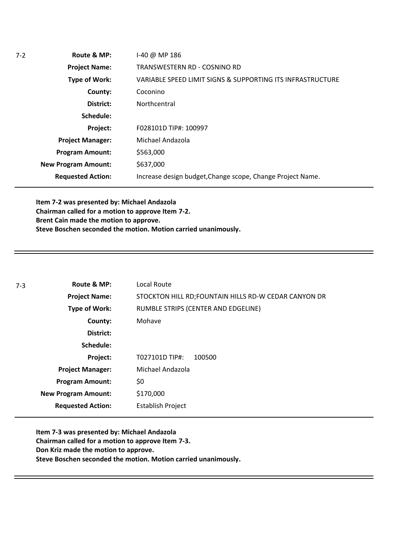| $7-2$ | Route & MP:                | I-40 @ MP 186                                              |
|-------|----------------------------|------------------------------------------------------------|
|       | <b>Project Name:</b>       | TRANSWESTERN RD - COSNINO RD                               |
|       | Type of Work:              | VARIABLE SPEED LIMIT SIGNS & SUPPORTING ITS INFRASTRUCTURE |
|       | County:                    | Coconino                                                   |
|       | District:                  | Northcentral                                               |
|       | Schedule:                  |                                                            |
|       | Project:                   | F028101D TIP#: 100997                                      |
|       | <b>Project Manager:</b>    | Michael Andazola                                           |
|       | <b>Program Amount:</b>     | \$563,000                                                  |
|       | <b>New Program Amount:</b> | \$637,000                                                  |
|       | <b>Requested Action:</b>   | Increase design budget, Change scope, Change Project Name. |
|       |                            |                                                            |

**Item 7-2 was presented by: Michael Andazola Chairman called for a motion to approve Item 7-2. Brent Cain made the motion to approve. Steve Boschen seconded the motion. Motion carried unanimously.**

| $7-3$ | Route & MP:                | Local Route                                           |
|-------|----------------------------|-------------------------------------------------------|
|       | <b>Project Name:</b>       | STOCKTON HILL RD; FOUNTAIN HILLS RD-W CEDAR CANYON DR |
|       | Type of Work:              | RUMBLE STRIPS (CENTER AND EDGELINE)                   |
|       | County:                    | Mohave                                                |
|       | District:                  |                                                       |
|       | Schedule:                  |                                                       |
|       | Project:                   | T027101D TIP#:<br>100500                              |
|       | <b>Project Manager:</b>    | Michael Andazola                                      |
|       | <b>Program Amount:</b>     | \$0                                                   |
|       | <b>New Program Amount:</b> | \$170,000                                             |
|       | <b>Requested Action:</b>   | <b>Establish Project</b>                              |

**Item 7-3 was presented by: Michael Andazola Chairman called for a motion to approve Item 7-3. Don Kriz made the motion to approve. Steve Boschen seconded the motion. Motion carried unanimously.**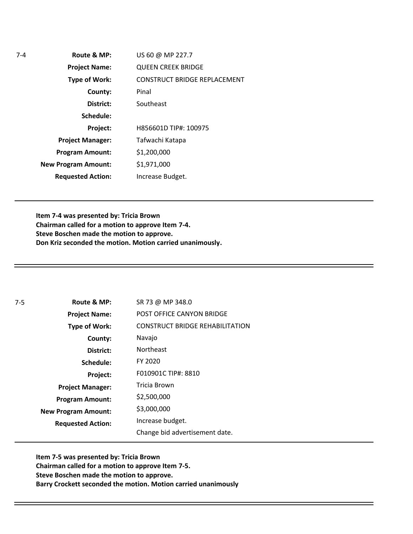**Route & MP: County: District: Schedule: Project Name: Type of Work: Project Manager: Project: Requested Action: New Program Amount: Program Amount:** US 60 @ MP 227.7 QUEEN CREEK BRIDGE CONSTRUCT BRIDGE REPLACEMENT Pinal Southeast H856601D TIP#: 100975 Tafwachi Katapa \$1,200,000 \$1,971,000 Increase Budget.

7-4

**Item 7-4 was presented by: Tricia Brown Chairman called for a motion to approve Item 7-4. Steve Boschen made the motion to approve. Don Kriz seconded the motion. Motion carried unanimously.**

**Route & MP: County: District: Schedule: Project Name: Type of Work: Project Manager: Project: Requested Action: New Program Amount:** 7-5 **Program Amount:** SR 73 @ MP 348.0 POST OFFICE CANYON BRIDGE CONSTRUCT BRIDGE REHABILITATION Navajo Northeast FY 2020 F010901C TIP#: 8810 Tricia Brown \$2,500,000 \$3,000,000 Increase budget. Change bid advertisement date.

**Item 7-5 was presented by: Tricia Brown Chairman called for a motion to approve Item 7-5. Steve Boschen made the motion to approve. Barry Crockett seconded the motion. Motion carried unanimously**